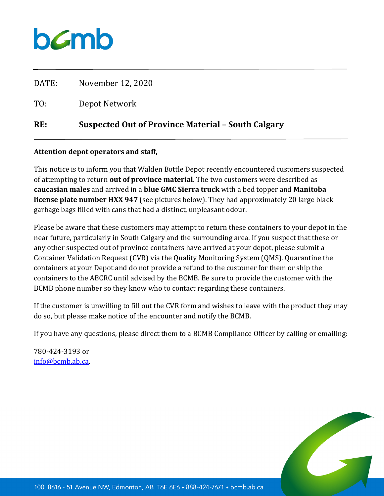## bamb

| RE:   | Suspected Out of Province Material - South Calgary |
|-------|----------------------------------------------------|
| TO:   | Depot Network                                      |
| DATE: | November 12, 2020                                  |

## **Attention depot operators and staff,**

This notice is to inform you that Walden Bottle Depot recently encountered customers suspected of attempting to return **out of province material**. The two customers were described as **caucasian males** and arrived in a **blue GMC Sierra truck** with a bed topper and **Manitoba license plate number HXX 947** (see pictures below). They had approximately 20 large black garbage bags filled with cans that had a distinct, unpleasant odour.

Please be aware that these customers may attempt to return these containers to your depot in the near future, particularly in South Calgary and the surrounding area. If you suspect that these or any other suspected out of province containers have arrived at your depot, please submit a Container Validation Request (CVR) via the Quality Monitoring System (QMS). Quarantine the containers at your Depot and do not provide a refund to the customer for them or ship the containers to the ABCRC until advised by the BCMB. Be sure to provide the customer with the BCMB phone number so they know who to contact regarding these containers.

If the customer is unwilling to fill out the CVR form and wishes to leave with the product they may do so, but please make notice of the encounter and notify the BCMB.

If you have any questions, please direct them to a BCMB Compliance Officer by calling or emailing:

780-424-3193 or [info@bcmb.ab.ca.](mailto:info@bcmb.ab.ca)